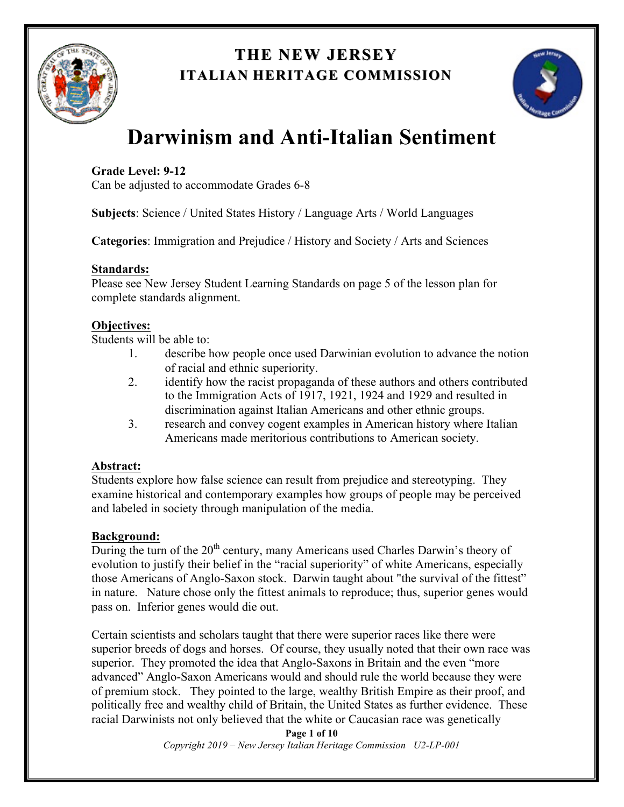

## **THE NEW JERSEY THE NEW JERSEY ITALIAN HERITAGE COMMISSION**



# **Darwinism and Anti-Italian Sentiment**

## **Grade Level: 9-12**

Can be adjusted to accommodate Grades 6-8

**Subjects**: Science / United States History / Language Arts / World Languages

**Categories**: Immigration and Prejudice / History and Society / Arts and Sciences

### **Standards:**

Please see New Jersey Student Learning Standards on page 5 of the lesson plan for complete standards alignment.

### **Objectives:**

Students will be able to:

- 1. describe how people once used Darwinian evolution to advance the notion of racial and ethnic superiority.
- 2. identify how the racist propaganda of these authors and others contributed to the Immigration Acts of 1917, 1921, 1924 and 1929 and resulted in discrimination against Italian Americans and other ethnic groups.
- 3. research and convey cogent examples in American history where Italian Americans made meritorious contributions to American society.

## **Abstract:**

Students explore how false science can result from prejudice and stereotyping. They examine historical and contemporary examples how groups of people may be perceived and labeled in society through manipulation of the media.

## **Background:**

During the turn of the  $20<sup>th</sup>$  century, many Americans used Charles Darwin's theory of evolution to justify their belief in the "racial superiority" of white Americans, especially those Americans of Anglo-Saxon stock. Darwin taught about "the survival of the fittest" in nature. Nature chose only the fittest animals to reproduce; thus, superior genes would pass on. Inferior genes would die out.

Certain scientists and scholars taught that there were superior races like there were superior breeds of dogs and horses. Of course, they usually noted that their own race was superior. They promoted the idea that Anglo-Saxons in Britain and the even "more advanced" Anglo-Saxon Americans would and should rule the world because they were of premium stock. They pointed to the large, wealthy British Empire as their proof, and politically free and wealthy child of Britain, the United States as further evidence. These racial Darwinists not only believed that the white or Caucasian race was genetically

> **Page 1 of 10** *Copyright 2019 – New Jersey Italian Heritage Commission U2-LP-001*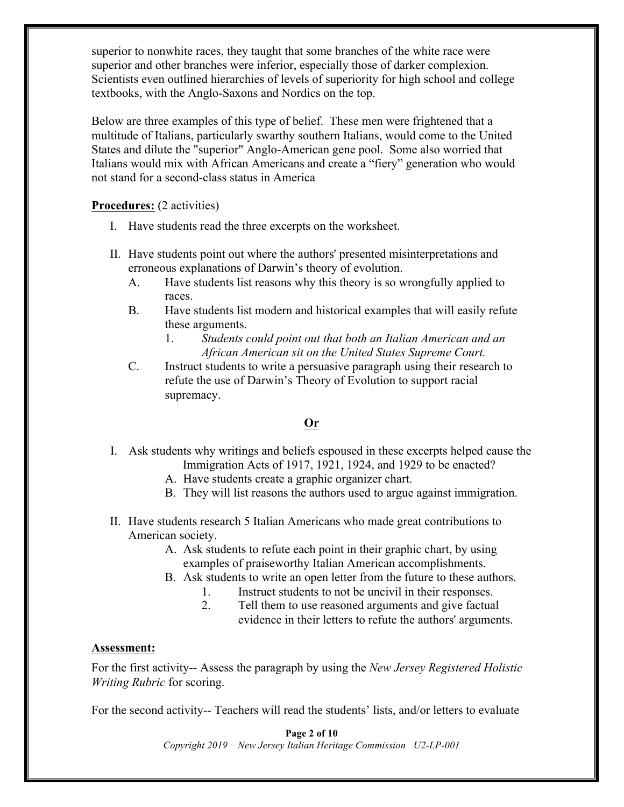superior to nonwhite races, they taught that some branches of the white race were superior and other branches were inferior, especially those of darker complexion. Scientists even outlined hierarchies of levels of superiority for high school and college textbooks, with the Anglo-Saxons and Nordics on the top.

Below are three examples of this type of belief. These men were frightened that a multitude of Italians, particularly swarthy southern Italians, would come to the United States and dilute the "superior" Anglo-American gene pool. Some also worried that Italians would mix with African Americans and create a "fiery" generation who would not stand for a second-class status in America

#### **Procedures:** (2 activities)

- I. Have students read the three excerpts on the worksheet.
- II. Have students point out where the authors' presented misinterpretations and erroneous explanations of Darwin's theory of evolution.
	- A. Have students list reasons why this theory is so wrongfully applied to races.
	- B. Have students list modern and historical examples that will easily refute these arguments.
		- 1. *Students could point out that both an Italian American and an African American sit on the United States Supreme Court.*
	- C. Instruct students to write a persuasive paragraph using their research to refute the use of Darwin's Theory of Evolution to support racial supremacy.

#### **Or**

- I. Ask students why writings and beliefs espoused in these excerpts helped cause the Immigration Acts of 1917, 1921, 1924, and 1929 to be enacted?
	- A. Have students create a graphic organizer chart.
	- B. They will list reasons the authors used to argue against immigration.
- II. Have students research 5 Italian Americans who made great contributions to American society.
	- A. Ask students to refute each point in their graphic chart, by using examples of praiseworthy Italian American accomplishments.
	- B. Ask students to write an open letter from the future to these authors.
		- 1. Instruct students to not be uncivil in their responses.
		- 2. Tell them to use reasoned arguments and give factual evidence in their letters to refute the authors' arguments.

#### **Assessment:**

For the first activity-- Assess the paragraph by using the *New Jersey Registered Holistic Writing Rubric* for scoring.

For the second activity-- Teachers will read the students' lists, and/or letters to evaluate

**Page 2 of 10** *Copyright 2019 – New Jersey Italian Heritage Commission U2-LP-001*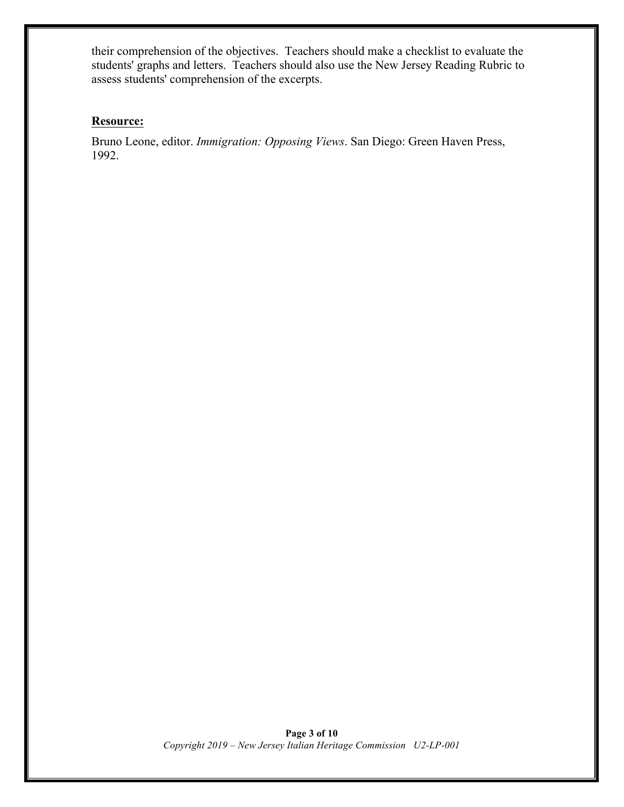their comprehension of the objectives. Teachers should make a checklist to evaluate the students' graphs and letters. Teachers should also use the New Jersey Reading Rubric to assess students' comprehension of the excerpts.

#### **Resource:**

Bruno Leone, editor. *Immigration: Opposing Views*. San Diego: Green Haven Press, 1992.

> **Page 3 of 10** *Copyright 2019 – New Jersey Italian Heritage Commission U2-LP-001*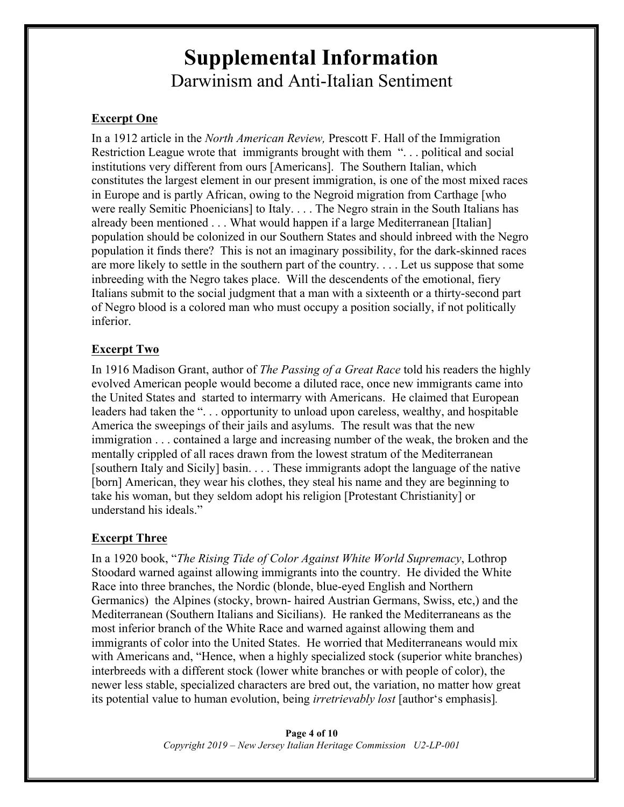## **Supplemental Information** Darwinism and Anti-Italian Sentiment

## **Excerpt One**

In a 1912 article in the *North American Review,* Prescott F. Hall of the Immigration Restriction League wrote that immigrants brought with them "... political and social institutions very different from ours [Americans]. The Southern Italian, which constitutes the largest element in our present immigration, is one of the most mixed races in Europe and is partly African, owing to the Negroid migration from Carthage [who were really Semitic Phoenicians] to Italy. . . . The Negro strain in the South Italians has already been mentioned . . . What would happen if a large Mediterranean [Italian] population should be colonized in our Southern States and should inbreed with the Negro population it finds there? This is not an imaginary possibility, for the dark-skinned races are more likely to settle in the southern part of the country. . . . Let us suppose that some inbreeding with the Negro takes place. Will the descendents of the emotional, fiery Italians submit to the social judgment that a man with a sixteenth or a thirty-second part of Negro blood is a colored man who must occupy a position socially, if not politically inferior.

## **Excerpt Two**

In 1916 Madison Grant, author of *The Passing of a Great Race* told his readers the highly evolved American people would become a diluted race, once new immigrants came into the United States and started to intermarry with Americans. He claimed that European leaders had taken the "... opportunity to unload upon careless, wealthy, and hospitable America the sweepings of their jails and asylums. The result was that the new immigration . . . contained a large and increasing number of the weak, the broken and the mentally crippled of all races drawn from the lowest stratum of the Mediterranean [southern Italy and Sicily] basin. . . . These immigrants adopt the language of the native [born] American, they wear his clothes, they steal his name and they are beginning to take his woman, but they seldom adopt his religion [Protestant Christianity] or understand his ideals."

## **Excerpt Three**

In a 1920 book, "*The Rising Tide of Color Against White World Supremacy*, Lothrop Stoodard warned against allowing immigrants into the country. He divided the White Race into three branches, the Nordic (blonde, blue-eyed English and Northern Germanics) the Alpines (stocky, brown- haired Austrian Germans, Swiss, etc,) and the Mediterranean (Southern Italians and Sicilians). He ranked the Mediterraneans as the most inferior branch of the White Race and warned against allowing them and immigrants of color into the United States. He worried that Mediterraneans would mix with Americans and, "Hence, when a highly specialized stock (superior white branches) interbreeds with a different stock (lower white branches or with people of color), the newer less stable, specialized characters are bred out, the variation, no matter how great its potential value to human evolution, being *irretrievably lost* [author's emphasis]*.*

> **Page 4 of 10** *Copyright 2019 – New Jersey Italian Heritage Commission U2-LP-001*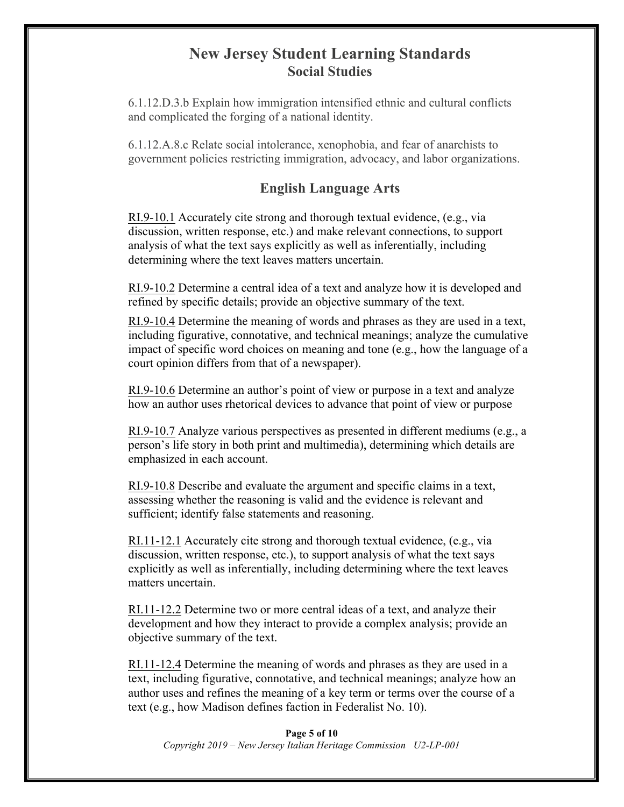## **New Jersey Student Learning Standards Social Studies**

6.1.12.D.3.b Explain how immigration intensified ethnic and cultural conflicts and complicated the forging of a national identity.

6.1.12.A.8.c Relate social intolerance, xenophobia, and fear of anarchists to government policies restricting immigration, advocacy, and labor organizations.

## **English Language Arts**

RI.9-10.1 Accurately cite strong and thorough textual evidence, (e.g., via discussion, written response, etc.) and make relevant connections, to support analysis of what the text says explicitly as well as inferentially, including determining where the text leaves matters uncertain.

RI.9-10.2 Determine a central idea of a text and analyze how it is developed and refined by specific details; provide an objective summary of the text.

RI.9-10.4 Determine the meaning of words and phrases as they are used in a text, including figurative, connotative, and technical meanings; analyze the cumulative impact of specific word choices on meaning and tone (e.g., how the language of a court opinion differs from that of a newspaper).

RI.9-10.6 Determine an author's point of view or purpose in a text and analyze how an author uses rhetorical devices to advance that point of view or purpose

RI.9-10.7 Analyze various perspectives as presented in different mediums (e.g., a person's life story in both print and multimedia), determining which details are emphasized in each account.

RI.9-10.8 Describe and evaluate the argument and specific claims in a text, assessing whether the reasoning is valid and the evidence is relevant and sufficient; identify false statements and reasoning.

RI.11-12.1 Accurately cite strong and thorough textual evidence, (e.g., via discussion, written response, etc.), to support analysis of what the text says explicitly as well as inferentially, including determining where the text leaves matters uncertain.

RI.11-12.2 Determine two or more central ideas of a text, and analyze their development and how they interact to provide a complex analysis; provide an objective summary of the text.

RI.11-12.4 Determine the meaning of words and phrases as they are used in a text, including figurative, connotative, and technical meanings; analyze how an author uses and refines the meaning of a key term or terms over the course of a text (e.g., how Madison defines faction in Federalist No. 10).

**Page 5 of 10** *Copyright 2019 – New Jersey Italian Heritage Commission U2-LP-001*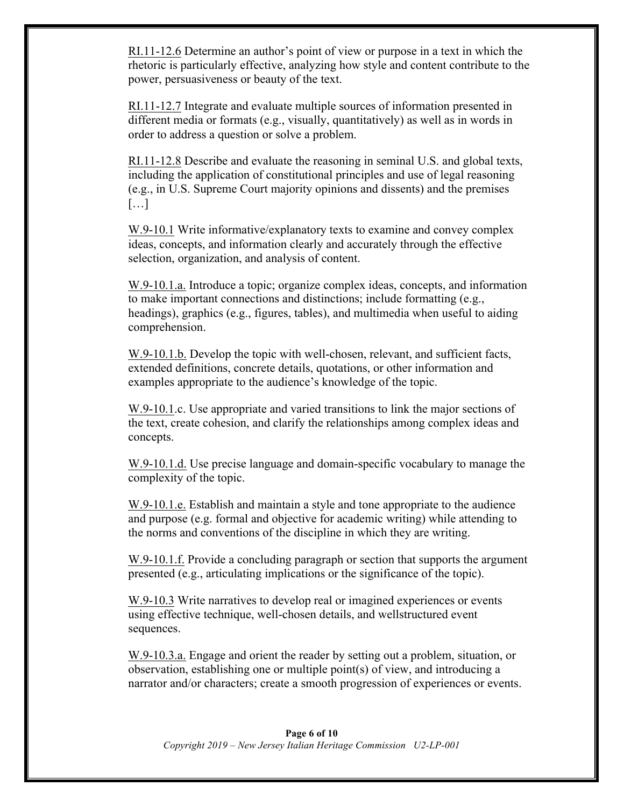RI.11-12.6 Determine an author's point of view or purpose in a text in which the rhetoric is particularly effective, analyzing how style and content contribute to the power, persuasiveness or beauty of the text.

RI.11-12.7 Integrate and evaluate multiple sources of information presented in different media or formats (e.g., visually, quantitatively) as well as in words in order to address a question or solve a problem.

RI.11-12.8 Describe and evaluate the reasoning in seminal U.S. and global texts, including the application of constitutional principles and use of legal reasoning (e.g., in U.S. Supreme Court majority opinions and dissents) and the premises […]

W.9-10.1 Write informative/explanatory texts to examine and convey complex ideas, concepts, and information clearly and accurately through the effective selection, organization, and analysis of content.

W.9-10.1.a. Introduce a topic; organize complex ideas, concepts, and information to make important connections and distinctions; include formatting (e.g., headings), graphics (e.g., figures, tables), and multimedia when useful to aiding comprehension.

W.9-10.1.b. Develop the topic with well-chosen, relevant, and sufficient facts, extended definitions, concrete details, quotations, or other information and examples appropriate to the audience's knowledge of the topic.

W.9-10.1.c. Use appropriate and varied transitions to link the major sections of the text, create cohesion, and clarify the relationships among complex ideas and concepts.

W.9-10.1.d. Use precise language and domain-specific vocabulary to manage the complexity of the topic.

W.9-10.1.e. Establish and maintain a style and tone appropriate to the audience and purpose (e.g. formal and objective for academic writing) while attending to the norms and conventions of the discipline in which they are writing.

W.9-10.1.f. Provide a concluding paragraph or section that supports the argument presented (e.g., articulating implications or the significance of the topic).

W.9-10.3 Write narratives to develop real or imagined experiences or events using effective technique, well-chosen details, and wellstructured event sequences.

W.9-10.3.a. Engage and orient the reader by setting out a problem, situation, or observation, establishing one or multiple point(s) of view, and introducing a narrator and/or characters; create a smooth progression of experiences or events.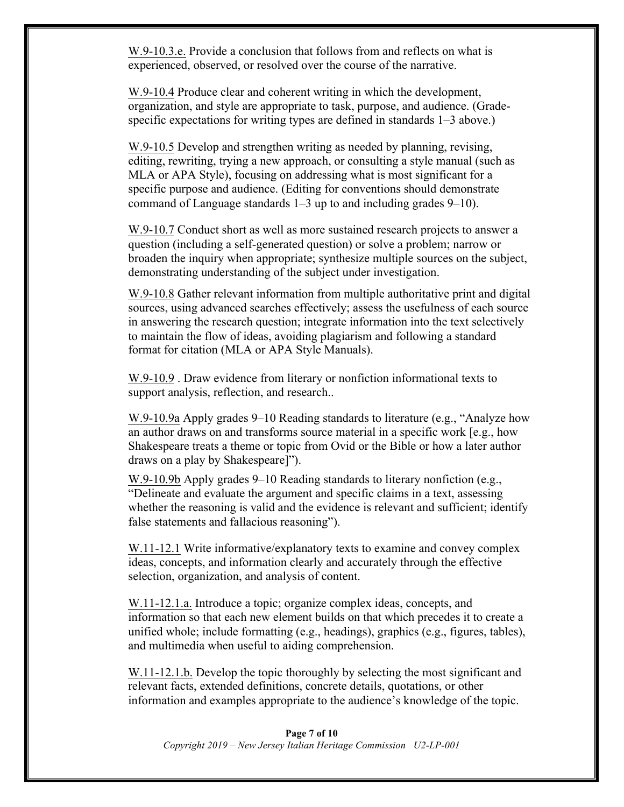W.9-10.3.e. Provide a conclusion that follows from and reflects on what is experienced, observed, or resolved over the course of the narrative.

W.9-10.4 Produce clear and coherent writing in which the development, organization, and style are appropriate to task, purpose, and audience. (Gradespecific expectations for writing types are defined in standards 1–3 above.)

W.9-10.5 Develop and strengthen writing as needed by planning, revising, editing, rewriting, trying a new approach, or consulting a style manual (such as MLA or APA Style), focusing on addressing what is most significant for a specific purpose and audience. (Editing for conventions should demonstrate command of Language standards 1–3 up to and including grades 9–10).

W.9-10.7 Conduct short as well as more sustained research projects to answer a question (including a self-generated question) or solve a problem; narrow or broaden the inquiry when appropriate; synthesize multiple sources on the subject, demonstrating understanding of the subject under investigation.

W.9-10.8 Gather relevant information from multiple authoritative print and digital sources, using advanced searches effectively; assess the usefulness of each source in answering the research question; integrate information into the text selectively to maintain the flow of ideas, avoiding plagiarism and following a standard format for citation (MLA or APA Style Manuals).

W.9-10.9 . Draw evidence from literary or nonfiction informational texts to support analysis, reflection, and research..

W.9-10.9a Apply grades 9–10 Reading standards to literature (e.g., "Analyze how an author draws on and transforms source material in a specific work [e.g., how Shakespeare treats a theme or topic from Ovid or the Bible or how a later author draws on a play by Shakespeare]").

W.9-10.9b Apply grades 9–10 Reading standards to literary nonfiction (e.g., "Delineate and evaluate the argument and specific claims in a text, assessing whether the reasoning is valid and the evidence is relevant and sufficient; identify false statements and fallacious reasoning").

W.11-12.1 Write informative/explanatory texts to examine and convey complex ideas, concepts, and information clearly and accurately through the effective selection, organization, and analysis of content.

W.11-12.1.a. Introduce a topic; organize complex ideas, concepts, and information so that each new element builds on that which precedes it to create a unified whole; include formatting (e.g., headings), graphics (e.g., figures, tables), and multimedia when useful to aiding comprehension.

W.11-12.1.b. Develop the topic thoroughly by selecting the most significant and relevant facts, extended definitions, concrete details, quotations, or other information and examples appropriate to the audience's knowledge of the topic.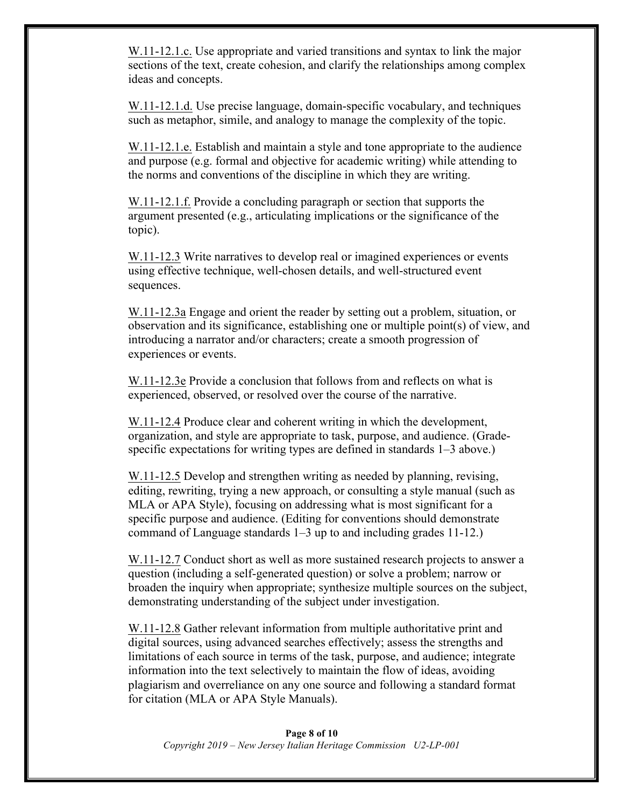W.11-12.1.c. Use appropriate and varied transitions and syntax to link the major sections of the text, create cohesion, and clarify the relationships among complex ideas and concepts.

W.11-12.1.d. Use precise language, domain-specific vocabulary, and techniques such as metaphor, simile, and analogy to manage the complexity of the topic.

W.11-12.1.e. Establish and maintain a style and tone appropriate to the audience and purpose (e.g. formal and objective for academic writing) while attending to the norms and conventions of the discipline in which they are writing.

W.11-12.1.f. Provide a concluding paragraph or section that supports the argument presented (e.g., articulating implications or the significance of the topic).

W.11-12.3 Write narratives to develop real or imagined experiences or events using effective technique, well-chosen details, and well-structured event sequences.

W.11-12.3a Engage and orient the reader by setting out a problem, situation, or observation and its significance, establishing one or multiple point(s) of view, and introducing a narrator and/or characters; create a smooth progression of experiences or events.

W.11-12.3e Provide a conclusion that follows from and reflects on what is experienced, observed, or resolved over the course of the narrative.

W.11-12.4 Produce clear and coherent writing in which the development, organization, and style are appropriate to task, purpose, and audience. (Gradespecific expectations for writing types are defined in standards 1–3 above.)

W.11-12.5 Develop and strengthen writing as needed by planning, revising, editing, rewriting, trying a new approach, or consulting a style manual (such as MLA or APA Style), focusing on addressing what is most significant for a specific purpose and audience. (Editing for conventions should demonstrate command of Language standards 1–3 up to and including grades 11-12.)

W.11-12.7 Conduct short as well as more sustained research projects to answer a question (including a self-generated question) or solve a problem; narrow or broaden the inquiry when appropriate; synthesize multiple sources on the subject, demonstrating understanding of the subject under investigation.

W.11-12.8 Gather relevant information from multiple authoritative print and digital sources, using advanced searches effectively; assess the strengths and limitations of each source in terms of the task, purpose, and audience; integrate information into the text selectively to maintain the flow of ideas, avoiding plagiarism and overreliance on any one source and following a standard format for citation (MLA or APA Style Manuals).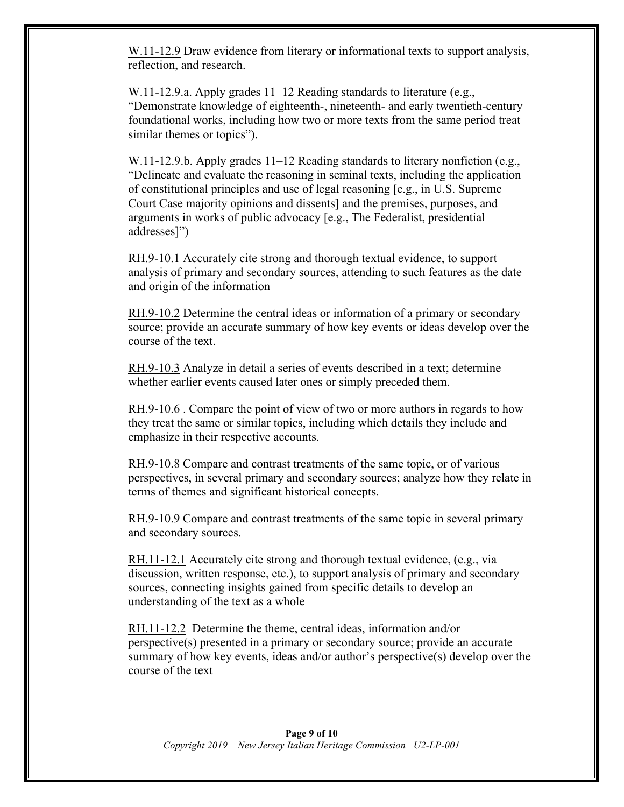W.11-12.9 Draw evidence from literary or informational texts to support analysis, reflection, and research.

W.11-12.9.a. Apply grades 11–12 Reading standards to literature (e.g., "Demonstrate knowledge of eighteenth-, nineteenth- and early twentieth-century foundational works, including how two or more texts from the same period treat similar themes or topics").

W.11-12.9.b. Apply grades 11–12 Reading standards to literary nonfiction (e.g., "Delineate and evaluate the reasoning in seminal texts, including the application of constitutional principles and use of legal reasoning [e.g., in U.S. Supreme Court Case majority opinions and dissents] and the premises, purposes, and arguments in works of public advocacy [e.g., The Federalist, presidential addresses]")

RH.9-10.1 Accurately cite strong and thorough textual evidence, to support analysis of primary and secondary sources, attending to such features as the date and origin of the information

RH.9-10.2 Determine the central ideas or information of a primary or secondary source; provide an accurate summary of how key events or ideas develop over the course of the text.

RH.9-10.3 Analyze in detail a series of events described in a text; determine whether earlier events caused later ones or simply preceded them.

RH.9-10.6 . Compare the point of view of two or more authors in regards to how they treat the same or similar topics, including which details they include and emphasize in their respective accounts.

RH.9-10.8 Compare and contrast treatments of the same topic, or of various perspectives, in several primary and secondary sources; analyze how they relate in terms of themes and significant historical concepts.

RH.9-10.9 Compare and contrast treatments of the same topic in several primary and secondary sources.

RH.11-12.1 Accurately cite strong and thorough textual evidence, (e.g., via discussion, written response, etc.), to support analysis of primary and secondary sources, connecting insights gained from specific details to develop an understanding of the text as a whole

RH.11-12.2 Determine the theme, central ideas, information and/or perspective(s) presented in a primary or secondary source; provide an accurate summary of how key events, ideas and/or author's perspective(s) develop over the course of the text